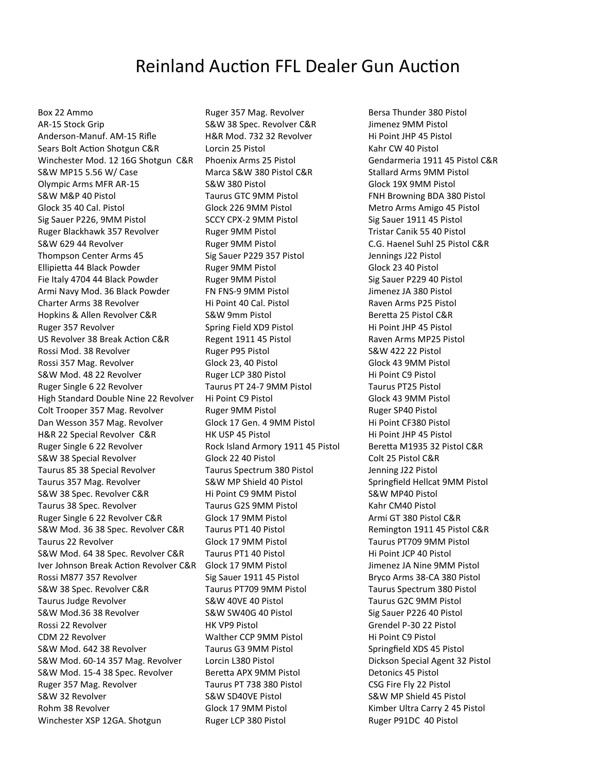## Reinland Auction FFL Dealer Gun Auction

Box 22 Ammo AR-15 Stock Grip Anderson-Manuf. AM-15 Rifle Sears Bolt Action Shotgun C&R Winchester Mod. 12 16G Shotgun C&R S&W MP15 5.56 W/ Case Olympic Arms MFR AR-15 S&W M&P 40 Pistol Glock 35 40 Cal. Pistol Sig Sauer P226, 9MM Pistol Ruger Blackhawk 357 Revolver S&W 629 44 Revolver Thompson Center Arms 45 Ellipietta 44 Black Powder Fie Italy 4704 44 Black Powder Armi Navy Mod. 36 Black Powder Charter Arms 38 Revolver Hopkins & Allen Revolver C&R Ruger 357 Revolver US Revolver 38 Break Action C&R Rossi Mod. 38 Revolver Rossi 357 Mag. Revolver S&W Mod. 48 22 Revolver Ruger Single 6 22 Revolver High Standard Double Nine 22 Revolver Colt Trooper 357 Mag. Revolver Dan Wesson 357 Mag. Revolver H&R 22 Special Revolver C&R Ruger Single 6 22 Revolver S&W 38 Special Revolver Taurus 85 38 Special Revolver Taurus 357 Mag. Revolver S&W 38 Spec. Revolver C&R Taurus 38 Spec. Revolver Ruger Single 6 22 Revolver C&R S&W Mod. 36 38 Spec. Revolver C&R Taurus 22 Revolver S&W Mod. 64 38 Spec. Revolver C&R Iver Johnson Break Action Revolver C&R Rossi M877 357 Revolver S&W 38 Spec. Revolver C&R Taurus Judge Revolver S&W Mod.36 38 Revolver Rossi 22 Revolver CDM 22 Revolver S&W Mod. 642 38 Revolver S&W Mod. 60-14 357 Mag. Revolver S&W Mod. 15-4 38 Spec. Revolver Ruger 357 Mag. Revolver S&W 32 Revolver Rohm 38 Revolver Winchester XSP 12GA. Shotgun

Ruger 357 Mag. Revolver S&W 38 Spec. Revolver C&R H&R Mod. 732 32 Revolver Lorcin 25 Pistol Phoenix Arms 25 Pistol Marca S&W 380 Pistol C&R S&W 380 Pistol Taurus GTC 9MM Pistol Glock 226 9MM Pistol SCCY CPX-2 9MM Pistol Ruger 9MM Pistol Ruger 9MM Pistol Sig Sauer P229 357 Pistol Ruger 9MM Pistol Ruger 9MM Pistol FN FNS-9 9MM Pistol Hi Point 40 Cal. Pistol S&W 9mm Pistol Spring Field XD9 Pistol Regent 1911 45 Pistol Ruger P95 Pistol Glock 23, 40 Pistol Ruger LCP 380 Pistol Taurus PT 24-7 9MM Pistol Hi Point C9 Pistol Ruger 9MM Pistol Glock 17 Gen. 4 9MM Pistol HK USP 45 Pistol Rock Island Armory 1911 45 Pistol Glock 22 40 Pistol Taurus Spectrum 380 Pistol S&W MP Shield 40 Pistol Hi Point C9 9MM Pistol Taurus G2S 9MM Pistol Glock 17 9MM Pistol Taurus PT1 40 Pistol Glock 17 9MM Pistol Taurus PT1 40 Pistol Glock 17 9MM Pistol Sig Sauer 1911 45 Pistol Taurus PT709 9MM Pistol S&W 40VE 40 Pistol S&W SW40G 40 Pistol HK VP9 Pistol Walther CCP 9MM Pistol Taurus G3 9MM Pistol Lorcin L380 Pistol Beretta APX 9MM Pistol Taurus PT 738 380 Pistol S&W SD40VE Pistol Glock 17 9MM Pistol Ruger LCP 380 Pistol

Bersa Thunder 380 Pistol Jimenez 9MM Pistol Hi Point JHP 45 Pistol Kahr CW 40 Pistol Gendarmeria 1911 45 Pistol C&R Stallard Arms 9MM Pistol Glock 19X 9MM Pistol FNH Browning BDA 380 Pistol Metro Arms Amigo 45 Pistol Sig Sauer 1911 45 Pistol Tristar Canik 55 40 Pistol C.G. Haenel Suhl 25 Pistol C&R Jennings J22 Pistol Glock 23 40 Pistol Sig Sauer P229 40 Pistol Jimenez JA 380 Pistol Raven Arms P25 Pistol Beretta 25 Pistol C&R Hi Point JHP 45 Pistol Raven Arms MP25 Pistol S&W 422 22 Pistol Glock 43 9MM Pistol Hi Point C9 Pistol Taurus PT25 Pistol Glock 43 9MM Pistol Ruger SP40 Pistol Hi Point CF380 Pistol Hi Point JHP 45 Pistol Beretta M1935 32 Pistol C&R Colt 25 Pistol C&R Jenning J22 Pistol Springfield Hellcat 9MM Pistol S&W MP40 Pistol Kahr CM40 Pistol Armi GT 380 Pistol C&R Remington 1911 45 Pistol C&R Taurus PT709 9MM Pistol Hi Point JCP 40 Pistol Jimenez JA Nine 9MM Pistol Bryco Arms 38-CA 380 Pistol Taurus Spectrum 380 Pistol Taurus G2C 9MM Pistol Sig Sauer P226 40 Pistol Grendel P-30 22 Pistol Hi Point C9 Pistol Springfield XDS 45 Pistol Dickson Special Agent 32 Pistol Detonics 45 Pistol CSG Fire Fly 22 Pistol S&W MP Shield 45 Pistol Kimber Ultra Carry 2 45 Pistol Ruger P91DC 40 Pistol